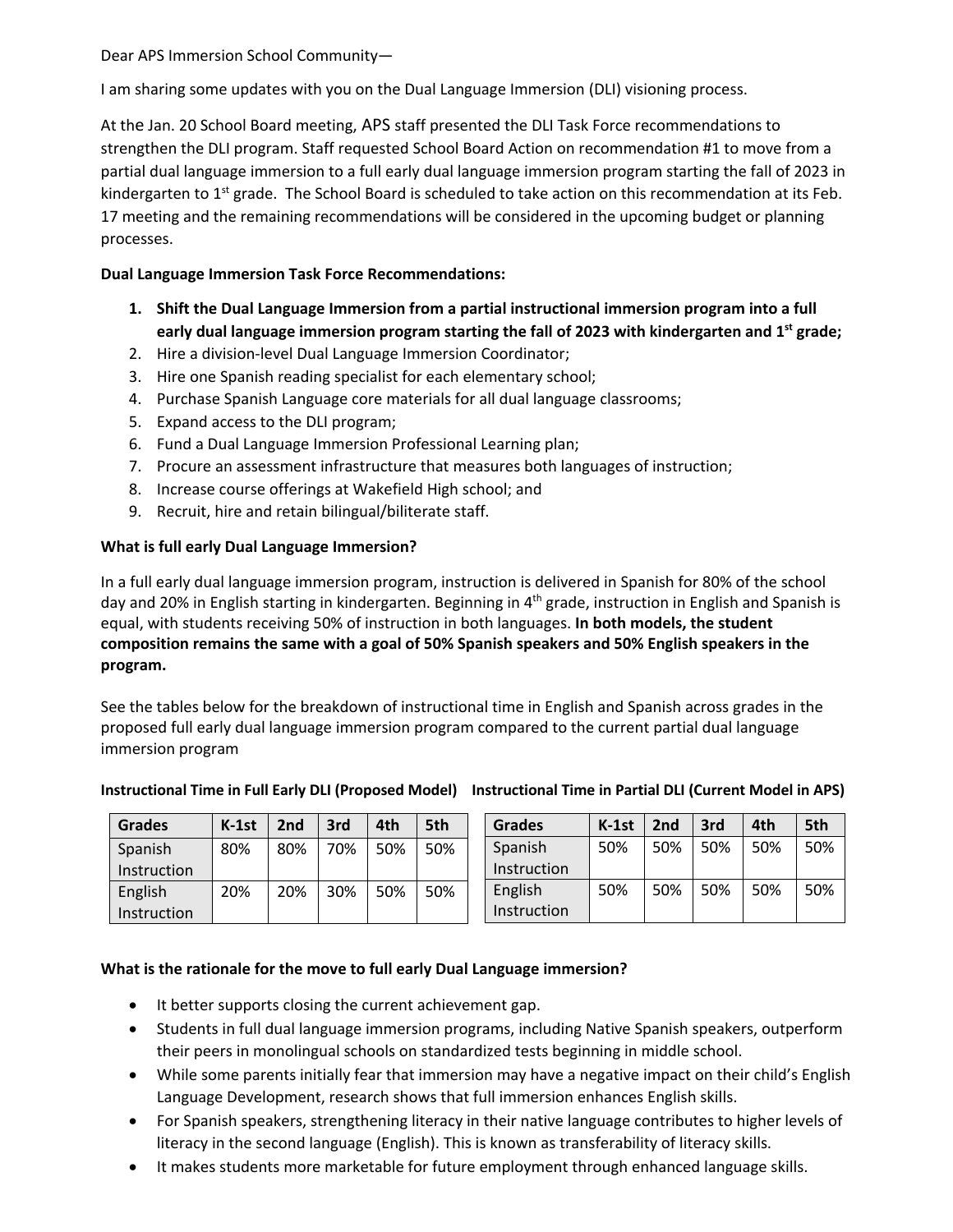Dear APS Immersion School Community—

I am sharing some updates with you on the Dual Language Immersion (DLI) visioning process.

At the Jan. 20 School Board meeting, APS staff presented the DLI Task Force recommendations to strengthen the DLI program. Staff requested School Board Action on recommendation #1 to move from a partial dual language immersion to a full early dual language immersion program starting the fall of 2023 in kindergarten to  $1<sup>st</sup>$  grade. The School Board is scheduled to take action on this recommendation at its Feb. 17 meeting and the remaining recommendations will be considered in the upcoming budget or planning processes.

## **Dual Language Immersion Task Force Recommendations:**

- **1. Shift the Dual Language Immersion from a partial instructional immersion program into a full early dual language immersion program starting the fall of 2023 with kindergarten and 1st grade;**
- 2. Hire a division-level Dual Language Immersion Coordinator;
- 3. Hire one Spanish reading specialist for each elementary school;
- 4. Purchase Spanish Language core materials for all dual language classrooms;
- 5. Expand access to the DLI program;
- 6. Fund a Dual Language Immersion Professional Learning plan;
- 7. Procure an assessment infrastructure that measures both languages of instruction;
- 8. Increase course offerings at Wakefield High school; and
- 9. Recruit, hire and retain bilingual/biliterate staff.

## **What is full early Dual Language Immersion?**

In a full early dual language immersion program, instruction is delivered in Spanish for 80% of the school day and 20% in English starting in kindergarten. Beginning in 4<sup>th</sup> grade, instruction in English and Spanish is equal, with students receiving 50% of instruction in both languages. **In both models, the student composition remains the same with a goal of 50% Spanish speakers and 50% English speakers in the program.**

See the tables below for the breakdown of instructional time in English and Spanish across grades in the proposed full early dual language immersion program compared to the current partial dual language immersion program

| <b>Grades</b>      | $K-1st$ | 2nd | 3rd | 4th | 5th | <b>Grades</b> | $K-1st$ | 2nd | 3rd | 4th | 5th |
|--------------------|---------|-----|-----|-----|-----|---------------|---------|-----|-----|-----|-----|
| Spanish            | 80%     | 80% | 70% | 50% | 50% | Spanish       | 50%     | 50% | 50% | 50% | 50% |
| <b>Instruction</b> |         |     |     |     |     | Instruction   |         |     |     |     |     |
| English            | 20%     | 20% | 30% | 50% | 50% | English       | 50%     | 50% | 50% | 50% | 50% |
| <b>Instruction</b> |         |     |     |     |     | Instruction   |         |     |     |     |     |

## **Instructional Time in Full Early DLI (Proposed Model) Instructional Time in Partial DLI (Current Model in APS)**

## **What is the rationale for the move to full early Dual Language immersion?**

- It better supports closing the current achievement gap.
- Students in full dual language immersion programs, including Native Spanish speakers, outperform their peers in monolingual schools on standardized tests beginning in middle school.
- While some parents initially fear that immersion may have a negative impact on their child's English Language Development, research shows that full immersion enhances English skills.
- For Spanish speakers, strengthening literacy in their native language contributes to higher levels of literacy in the second language (English). This is known as transferability of literacy skills.
- It makes students more marketable for future employment through enhanced language skills.